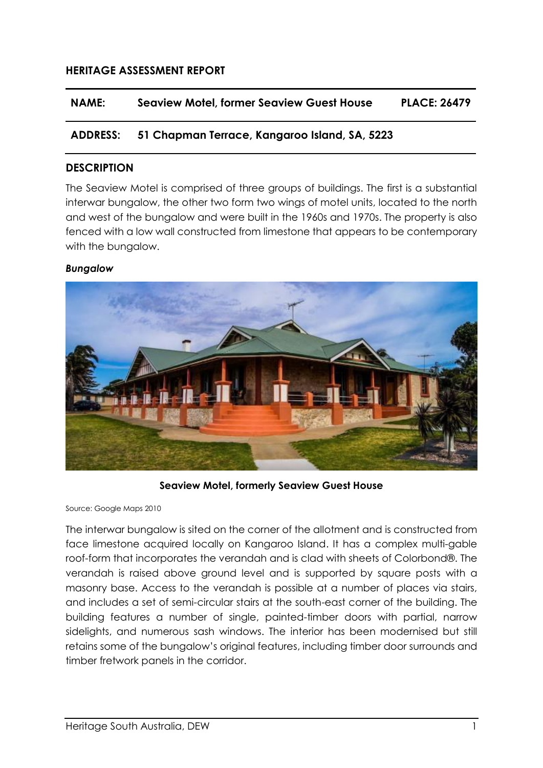#### **HERITAGE ASSESSMENT REPORT**

#### **NAME: Seaview Motel, former Seaview Guest House PLACE: 26479**

#### **ADDRESS: 51 Chapman Terrace, Kangaroo Island, SA, 5223**

#### **DESCRIPTION**

The Seaview Motel is comprised of three groups of buildings. The first is a substantial interwar bungalow, the other two form two wings of motel units, located to the north and west of the bungalow and were built in the 1960s and 1970s. The property is also fenced with a low wall constructed from limestone that appears to be contemporary with the bungalow.

#### *Bungalow*



**Seaview Motel, formerly Seaview Guest House**

Source: Google Maps 2010

The interwar bungalow is sited on the corner of the allotment and is constructed from face limestone acquired locally on Kangaroo Island. It has a complex multi-gable roof-form that incorporates the verandah and is clad with sheets of Colorbond®. The verandah is raised above ground level and is supported by square posts with a masonry base. Access to the verandah is possible at a number of places via stairs, and includes a set of semi-circular stairs at the south-east corner of the building. The building features a number of single, painted-timber doors with partial, narrow sidelights, and numerous sash windows. The interior has been modernised but still retains some of the bungalow's original features, including timber door surrounds and timber fretwork panels in the corridor.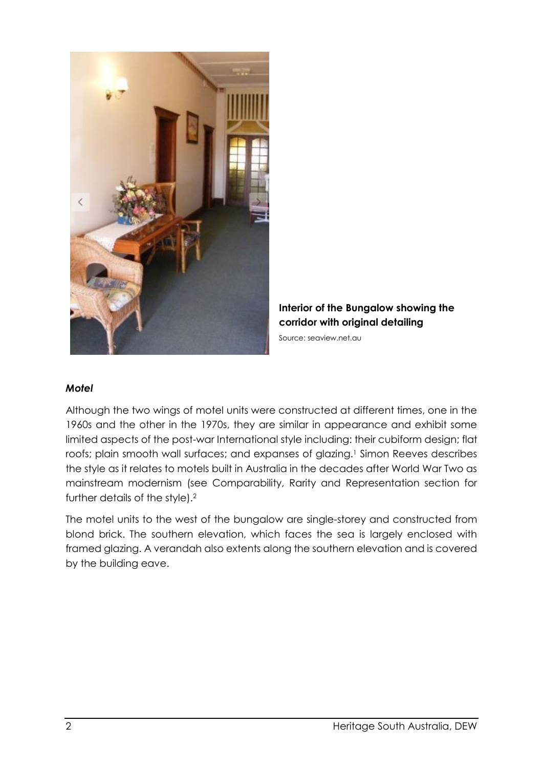

**Interior of the Bungalow showing the corridor with original detailing**

Source: seaview.net.au

#### *Motel*

Although the two wings of motel units were constructed at different times, one in the 1960s and the other in the 1970s, they are similar in appearance and exhibit some limited aspects of the post-war International style including: their cubiform design; flat roofs; plain smooth wall surfaces; and expanses of glazing.<sup>1</sup> Simon Reeves describes the style as it relates to motels built in Australia in the decades after World War Two as mainstream modernism (see Comparability, Rarity and Representation section for further details of the style).<sup>2</sup>

The motel units to the west of the bungalow are single-storey and constructed from blond brick. The southern elevation, which faces the sea is largely enclosed with framed glazing. A verandah also extents along the southern elevation and is covered by the building eave.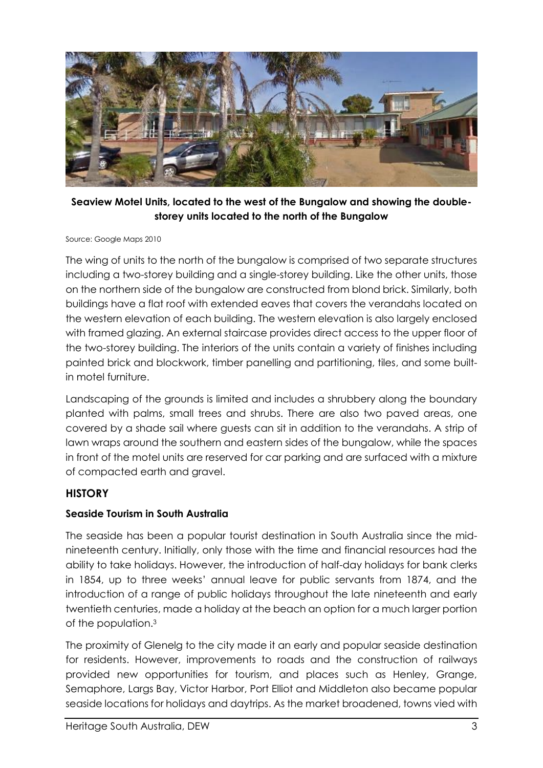

**Seaview Motel Units, located to the west of the Bungalow and showing the doublestorey units located to the north of the Bungalow**

#### Source: Google Maps 2010

The wing of units to the north of the bungalow is comprised of two separate structures including a two-storey building and a single-storey building. Like the other units, those on the northern side of the bungalow are constructed from blond brick. Similarly, both buildings have a flat roof with extended eaves that covers the verandahs located on the western elevation of each building. The western elevation is also largely enclosed with framed glazing. An external staircase provides direct access to the upper floor of the two-storey building. The interiors of the units contain a variety of finishes including painted brick and blockwork, timber panelling and partitioning, tiles, and some builtin motel furniture.

Landscaping of the grounds is limited and includes a shrubbery along the boundary planted with palms, small trees and shrubs. There are also two paved areas, one covered by a shade sail where guests can sit in addition to the verandahs. A strip of lawn wraps around the southern and eastern sides of the bungalow, while the spaces in front of the motel units are reserved for car parking and are surfaced with a mixture of compacted earth and gravel.

#### **HISTORY**

#### **Seaside Tourism in South Australia**

The seaside has been a popular tourist destination in South Australia since the midnineteenth century. Initially, only those with the time and financial resources had the ability to take holidays. However, the introduction of half-day holidays for bank clerks in 1854, up to three weeks' annual leave for public servants from 1874, and the introduction of a range of public holidays throughout the late nineteenth and early twentieth centuries, made a holiday at the beach an option for a much larger portion of the population.<sup>3</sup>

The proximity of Glenelg to the city made it an early and popular seaside destination for residents. However, improvements to roads and the construction of railways provided new opportunities for tourism, and places such as Henley, Grange, Semaphore, Largs Bay, Victor Harbor, Port Elliot and Middleton also became popular seaside locations for holidays and daytrips. As the market broadened, towns vied with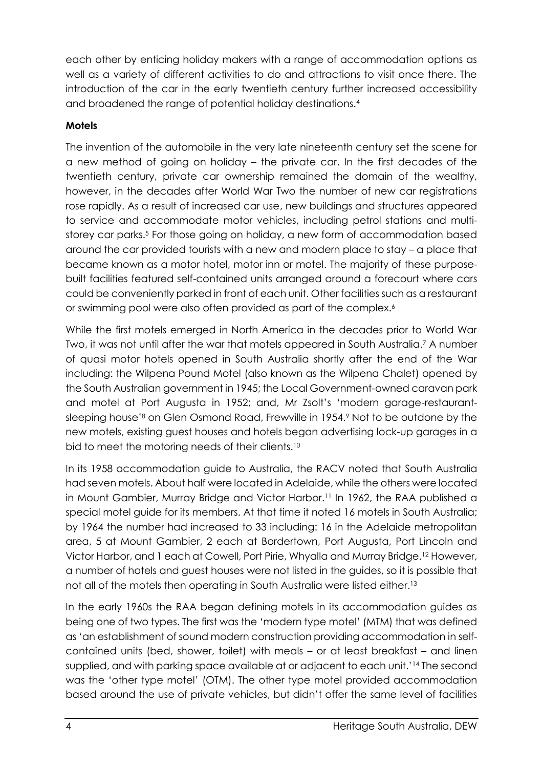each other by enticing holiday makers with a range of accommodation options as well as a variety of different activities to do and attractions to visit once there. The introduction of the car in the early twentieth century further increased accessibility and broadened the range of potential holiday destinations.<sup>4</sup>

### **Motels**

The invention of the automobile in the very late nineteenth century set the scene for a new method of going on holiday – the private car. In the first decades of the twentieth century, private car ownership remained the domain of the wealthy, however, in the decades after World War Two the number of new car registrations rose rapidly. As a result of increased car use, new buildings and structures appeared to service and accommodate motor vehicles, including petrol stations and multistorey car parks.<sup>5</sup> For those going on holiday, a new form of accommodation based around the car provided tourists with a new and modern place to stay – a place that became known as a motor hotel, motor inn or motel. The majority of these purposebuilt facilities featured self-contained units arranged around a forecourt where cars could be conveniently parked in front of each unit. Other facilities such as a restaurant or swimming pool were also often provided as part of the complex.<sup>6</sup>

While the first motels emerged in North America in the decades prior to World War Two, it was not until after the war that motels appeared in South Australia.<sup>7</sup> A number of quasi motor hotels opened in South Australia shortly after the end of the War including: the Wilpena Pound Motel (also known as the Wilpena Chalet) opened by the South Australian government in 1945; the Local Government-owned caravan park and motel at Port Augusta in 1952; and, Mr Zsolt's 'modern garage-restaurantsleeping house'<sup>8</sup> on Glen Osmond Road, Frewville in 1954.<sup>9</sup> Not to be outdone by the new motels, existing guest houses and hotels began advertising lock-up garages in a bid to meet the motoring needs of their clients.<sup>10</sup>

In its 1958 accommodation guide to Australia, the RACV noted that South Australia had seven motels. About half were located in Adelaide, while the others were located in Mount Gambier, Murray Bridge and Victor Harbor.<sup>11</sup> In 1962, the RAA published a special motel guide for its members. At that time it noted 16 motels in South Australia; by 1964 the number had increased to 33 including: 16 in the Adelaide metropolitan area, 5 at Mount Gambier, 2 each at Bordertown, Port Augusta, Port Lincoln and Victor Harbor, and 1 each at Cowell, Port Pirie, Whyalla and Murray Bridge.<sup>12</sup> However, a number of hotels and guest houses were not listed in the guides, so it is possible that not all of the motels then operating in South Australia were listed either.<sup>13</sup>

In the early 1960s the RAA began defining motels in its accommodation guides as being one of two types. The first was the 'modern type motel' (MTM) that was defined as 'an establishment of sound modern construction providing accommodation in selfcontained units (bed, shower, toilet) with meals – or at least breakfast – and linen supplied, and with parking space available at or adjacent to each unit.'<sup>14</sup> The second was the 'other type motel' (OTM). The other type motel provided accommodation based around the use of private vehicles, but didn't offer the same level of facilities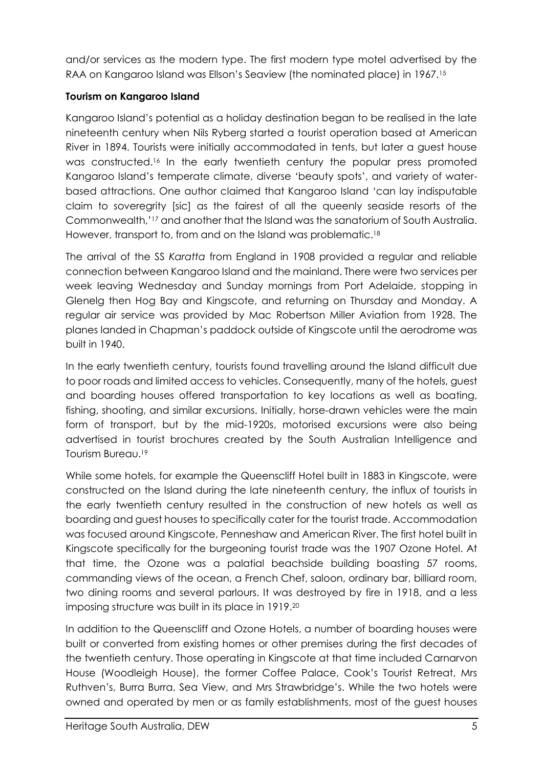and/or services as the modern type. The first modern type motel advertised by the RAA on Kangaroo Island was Ellson's Seaview (the nominated place) in 1967.<sup>15</sup>

# **Tourism on Kangaroo Island**

Kangaroo Island's potential as a holiday destination began to be realised in the late nineteenth century when Nils Ryberg started a tourist operation based at American River in 1894. Tourists were initially accommodated in tents, but later a guest house was constructed.<sup>16</sup> In the early twentieth century the popular press promoted Kangaroo Island's temperate climate, diverse 'beauty spots', and variety of waterbased attractions. One author claimed that Kangaroo Island 'can lay indisputable claim to soveregrity [sic] as the fairest of all the queenly seaside resorts of the Commonwealth,' <sup>17</sup> and another that the Island was the sanatorium of South Australia. However, transport to, from and on the Island was problematic.<sup>18</sup>

The arrival of the SS *Karatta* from England in 1908 provided a regular and reliable connection between Kangaroo Island and the mainland. There were two services per week leaving Wednesday and Sunday mornings from Port Adelaide, stopping in Glenelg then Hog Bay and Kingscote, and returning on Thursday and Monday. A regular air service was provided by Mac Robertson Miller Aviation from 1928. The planes landed in Chapman's paddock outside of Kingscote until the aerodrome was built in 1940.

In the early twentieth century, tourists found travelling around the Island difficult due to poor roads and limited access to vehicles. Consequently, many of the hotels, guest and boarding houses offered transportation to key locations as well as boating, fishing, shooting, and similar excursions. Initially, horse-drawn vehicles were the main form of transport, but by the mid-1920s, motorised excursions were also being advertised in tourist brochures created by the South Australian Intelligence and Tourism Bureau.<sup>19</sup>

While some hotels, for example the Queenscliff Hotel built in 1883 in Kingscote, were constructed on the Island during the late nineteenth century, the influx of tourists in the early twentieth century resulted in the construction of new hotels as well as boarding and guest houses to specifically cater for the tourist trade. Accommodation was focused around Kingscote, Penneshaw and American River. The first hotel built in Kingscote specifically for the burgeoning tourist trade was the 1907 Ozone Hotel. At that time, the Ozone was a palatial beachside building boasting 57 rooms, commanding views of the ocean, a French Chef, saloon, ordinary bar, billiard room, two dining rooms and several parlours. It was destroyed by fire in 1918, and a less imposing structure was built in its place in 1919.<sup>20</sup>

In addition to the Queenscliff and Ozone Hotels, a number of boarding houses were built or converted from existing homes or other premises during the first decades of the twentieth century. Those operating in Kingscote at that time included Carnarvon House (Woodleigh House), the former Coffee Palace, Cook's Tourist Retreat, Mrs Ruthven's, Burra Burra, Sea View, and Mrs Strawbridge's. While the two hotels were owned and operated by men or as family establishments, most of the guest houses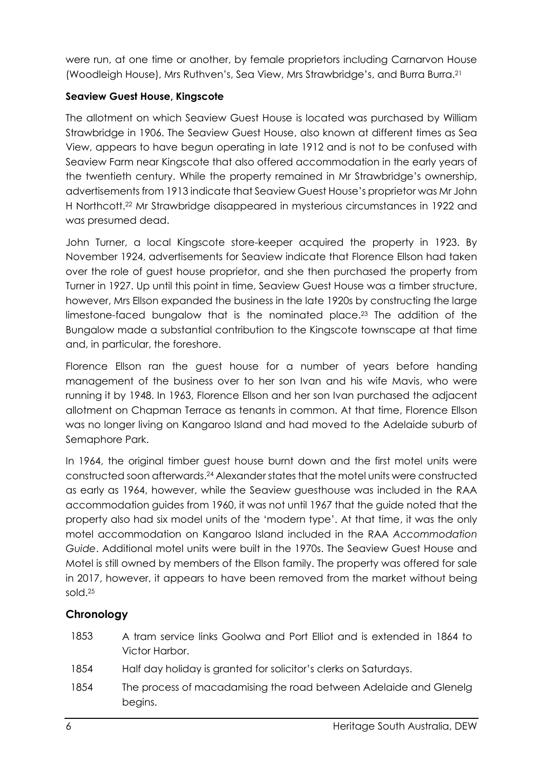were run, at one time or another, by female proprietors including Carnarvon House (Woodleigh House), Mrs Ruthven's, Sea View, Mrs Strawbridge's, and Burra Burra.<sup>21</sup>

### **Seaview Guest House, Kingscote**

The allotment on which Seaview Guest House is located was purchased by William Strawbridge in 1906. The Seaview Guest House, also known at different times as Sea View, appears to have begun operating in late 1912 and is not to be confused with Seaview Farm near Kingscote that also offered accommodation in the early years of the twentieth century. While the property remained in Mr Strawbridge's ownership, advertisements from 1913 indicate that Seaview Guest House's proprietor was Mr John H Northcott.<sup>22</sup> Mr Strawbridge disappeared in mysterious circumstances in 1922 and was presumed dead.

John Turner, a local Kingscote store-keeper acquired the property in 1923. By November 1924, advertisements for Seaview indicate that Florence Ellson had taken over the role of guest house proprietor, and she then purchased the property from Turner in 1927. Up until this point in time, Seaview Guest House was a timber structure, however, Mrs Ellson expanded the business in the late 1920s by constructing the large limestone-faced bungalow that is the nominated place.<sup>23</sup> The addition of the Bungalow made a substantial contribution to the Kingscote townscape at that time and, in particular, the foreshore.

Florence Ellson ran the guest house for a number of years before handing management of the business over to her son Ivan and his wife Mavis, who were running it by 1948. In 1963, Florence Ellson and her son Ivan purchased the adjacent allotment on Chapman Terrace as tenants in common. At that time, Florence Ellson was no longer living on Kangaroo Island and had moved to the Adelaide suburb of Semaphore Park.

In 1964, the original timber guest house burnt down and the first motel units were constructed soon afterwards. <sup>24</sup> Alexander states that the motel units were constructed as early as 1964, however, while the Seaview guesthouse was included in the RAA accommodation guides from 1960, it was not until 1967 that the guide noted that the property also had six model units of the 'modern type'. At that time, it was the only motel accommodation on Kangaroo Island included in the RAA *Accommodation Guide*. Additional motel units were built in the 1970s. The Seaview Guest House and Motel is still owned by members of the Ellson family. The property was offered for sale in 2017, however, it appears to have been removed from the market without being sold.<sup>25</sup>

# **Chronology**

- 1853 A tram service links Goolwa and Port Elliot and is extended in 1864 to Victor Harbor.
- 1854 Half day holiday is granted for solicitor's clerks on Saturdays.
- 1854 The process of macadamising the road between Adelaide and Glenelg begins.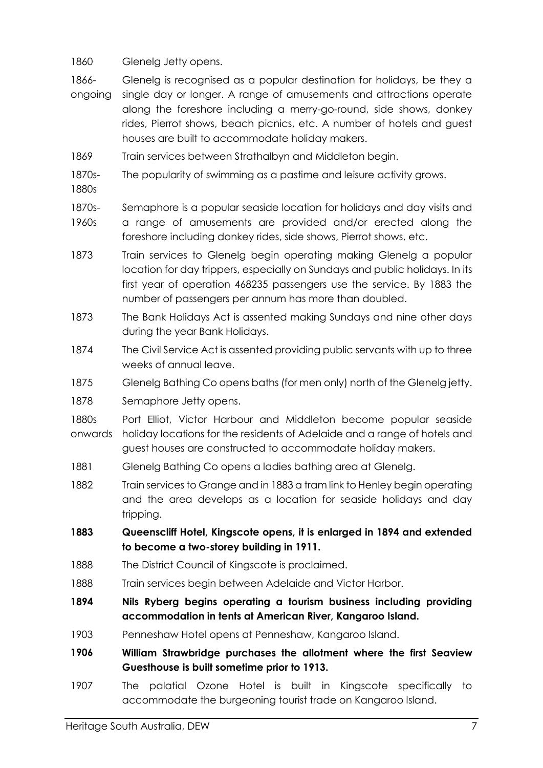#### 1860 Glenelg Jetty opens.

1866 ongoing Glenelg is recognised as a popular destination for holidays, be they a single day or longer. A range of amusements and attractions operate along the foreshore including a merry-go-round, side shows, donkey rides, Pierrot shows, beach picnics, etc. A number of hotels and guest houses are built to accommodate holiday makers.

1869 Train services between Strathalbyn and Middleton begin.

1870s-The popularity of swimming as a pastime and leisure activity grows.

- 1880s
- 1870s-Semaphore is a popular seaside location for holidays and day visits and
- 1960s a range of amusements are provided and/or erected along the foreshore including donkey rides, side shows, Pierrot shows, etc.
- 1873 Train services to Glenelg begin operating making Glenelg a popular location for day trippers, especially on Sundays and public holidays. In its first year of operation 468235 passengers use the service. By 1883 the number of passengers per annum has more than doubled.
- 1873 The Bank Holidays Act is assented making Sundays and nine other days during the year Bank Holidays.
- 1874 The Civil Service Act is assented providing public servants with up to three weeks of annual leave.
- 1875 Glenelg Bathing Co opens baths (for men only) north of the Glenelg jetty.
- 1878 Semaphore Jetty opens.

1880s onwards Port Elliot, Victor Harbour and Middleton become popular seaside holiday locations for the residents of Adelaide and a range of hotels and guest houses are constructed to accommodate holiday makers.

- 1881 Glenelg Bathing Co opens a ladies bathing area at Glenelg.
- 1882 Train services to Grange and in 1883 a tram link to Henley begin operating and the area develops as a location for seaside holidays and day tripping.
- **1883 Queenscliff Hotel, Kingscote opens, it is enlarged in 1894 and extended to become a two-storey building in 1911.**
- 1888 The District Council of Kingscote is proclaimed.
- 1888 Train services begin between Adelaide and Victor Harbor.
- **1894 Nils Ryberg begins operating a tourism business including providing accommodation in tents at American River, Kangaroo Island.**
- 1903 Penneshaw Hotel opens at Penneshaw, Kangaroo Island.
- **1906 William Strawbridge purchases the allotment where the first Seaview Guesthouse is built sometime prior to 1913.**
- 1907 The palatial Ozone Hotel is built in Kingscote specifically to accommodate the burgeoning tourist trade on Kangaroo Island.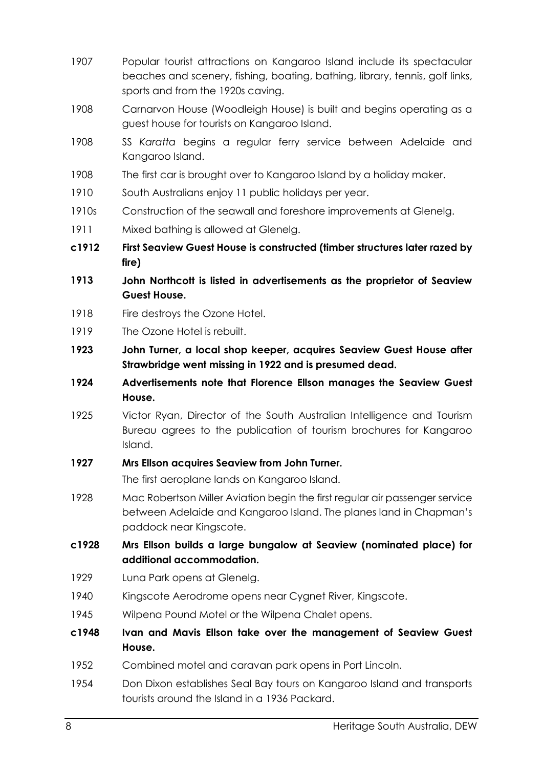- 1907 Popular tourist attractions on Kangaroo Island include its spectacular beaches and scenery, fishing, boating, bathing, library, tennis, golf links, sports and from the 1920s caving.
- 1908 Carnarvon House (Woodleigh House) is built and begins operating as a guest house for tourists on Kangaroo Island.
- 1908 SS *Karatta* begins a regular ferry service between Adelaide and Kangaroo Island.
- 1908 The first car is brought over to Kangaroo Island by a holiday maker.
- 1910 South Australians enjoy 11 public holidays per year.
- 1910s Construction of the seawall and foreshore improvements at Glenelg.
- 1911 Mixed bathing is allowed at Glenelg.
- **c1912 First Seaview Guest House is constructed (timber structures later razed by fire)**
- **1913 John Northcott is listed in advertisements as the proprietor of Seaview Guest House.**
- 1918 Fire destroys the Ozone Hotel.
- 1919 The Ozone Hotel is rebuilt.
- **1923 John Turner, a local shop keeper, acquires Seaview Guest House after Strawbridge went missing in 1922 and is presumed dead.**
- **1924 Advertisements note that Florence Ellson manages the Seaview Guest House.**
- 1925 Victor Ryan, Director of the South Australian Intelligence and Tourism Bureau agrees to the publication of tourism brochures for Kangaroo Island.
- **1927 Mrs Ellson acquires Seaview from John Turner.**

The first aeroplane lands on Kangaroo Island.

- 1928 Mac Robertson Miller Aviation begin the first regular air passenger service between Adelaide and Kangaroo Island. The planes land in Chapman's paddock near Kingscote.
- **c1928 Mrs Ellson builds a large bungalow at Seaview (nominated place) for additional accommodation.**
- 1929 Luna Park opens at Glenelg.
- 1940 Kingscote Aerodrome opens near Cygnet River, Kingscote.
- 1945 Wilpena Pound Motel or the Wilpena Chalet opens.
- **c1948 Ivan and Mavis Ellson take over the management of Seaview Guest House.**
- 1952 Combined motel and caravan park opens in Port Lincoln.
- 1954 Don Dixon establishes Seal Bay tours on Kangaroo Island and transports tourists around the Island in a 1936 Packard.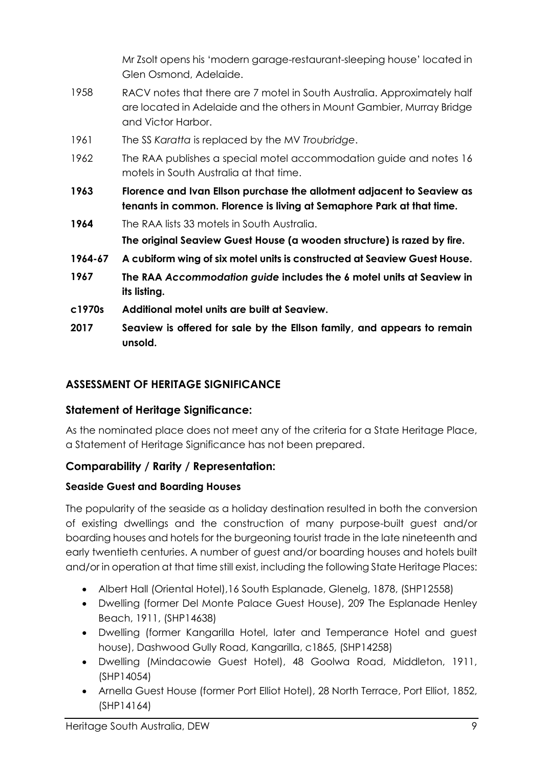|         | Mr Zsolt opens his 'modern garage-restaurant-sleeping house' located in<br>Glen Osmond, Adelaide.                                                                        |  |  |
|---------|--------------------------------------------------------------------------------------------------------------------------------------------------------------------------|--|--|
| 1958    | RACV notes that there are 7 motel in South Australia. Approximately half<br>are located in Adelaide and the others in Mount Gambier, Murray Bridge<br>and Victor Harbor. |  |  |
| 1961    | The SS Karatta is replaced by the MV Troubridge.                                                                                                                         |  |  |
| 1962    | The RAA publishes a special motel accommodation guide and notes 16<br>motels in South Australia at that time.                                                            |  |  |
| 1963    | Florence and Ivan Ellson purchase the allotment adjacent to Seaview as<br>tenants in common. Florence is living at Semaphore Park at that time.                          |  |  |
| 1964    | The RAA lists 33 motels in South Australia.                                                                                                                              |  |  |
|         | The original Seaview Guest House (a wooden structure) is razed by fire.                                                                                                  |  |  |
| 1964-67 | A cubiform wing of six motel units is constructed at Seaview Guest House.                                                                                                |  |  |
| 1967    | The RAA Accommodation guide includes the 6 motel units at Seaview in<br>its listing.                                                                                     |  |  |
| c1970s  | Additional motel units are built at Seaview.                                                                                                                             |  |  |
| 2017    | Seaview is offered for sale by the Ellson family, and appears to remain<br>unsold.                                                                                       |  |  |

# **ASSESSMENT OF HERITAGE SIGNIFICANCE**

# **Statement of Heritage Significance:**

As the nominated place does not meet any of the criteria for a State Heritage Place, a Statement of Heritage Significance has not been prepared.

# **Comparability / Rarity / Representation:**

#### **Seaside Guest and Boarding Houses**

The popularity of the seaside as a holiday destination resulted in both the conversion of existing dwellings and the construction of many purpose-built guest and/or boarding houses and hotels for the burgeoning tourist trade in the late nineteenth and early twentieth centuries. A number of guest and/or boarding houses and hotels built and/or in operation at that time still exist, including the following State Heritage Places:

- Albert Hall (Oriental Hotel),16 South Esplanade, Glenelg, 1878, (SHP12558)
- Dwelling (former Del Monte Palace Guest House), 209 The Esplanade Henley Beach, 1911, (SHP14638)
- Dwelling (former Kangarilla Hotel, later and Temperance Hotel and guest house), Dashwood Gully Road, Kangarilla, c1865, (SHP14258)
- Dwelling (Mindacowie Guest Hotel), 48 Goolwa Road, Middleton, 1911, (SHP14054)
- Arnella Guest House (former Port Elliot Hotel), 28 North Terrace, Port Elliot, 1852, (SHP14164)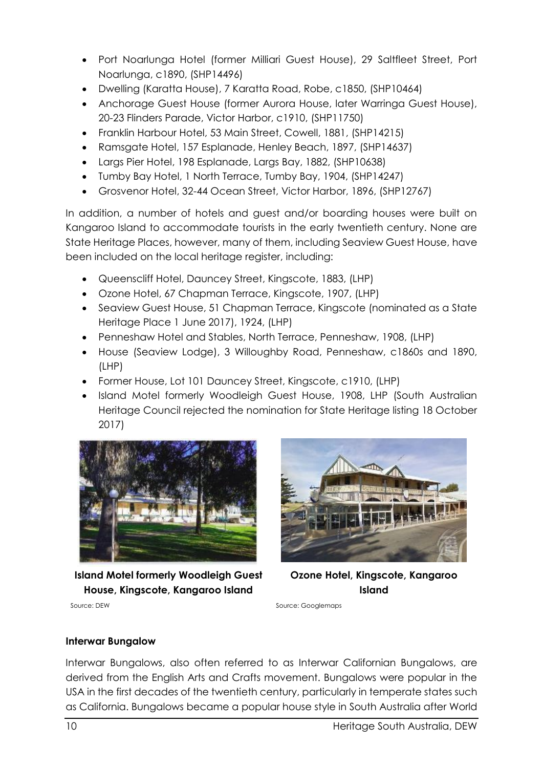- Port Noarlunga Hotel (former Milliari Guest House), 29 Saltfleet Street, Port Noarlunga, c1890, (SHP14496)
- Dwelling (Karatta House), 7 Karatta Road, Robe, c1850, (SHP10464)
- Anchorage Guest House (former Aurora House, later Warringa Guest House), 20-23 Flinders Parade, Victor Harbor, c1910, (SHP11750)
- Franklin Harbour Hotel, 53 Main Street, Cowell, 1881, (SHP14215)
- Ramsgate Hotel, 157 Esplanade, Henley Beach, 1897, (SHP14637)
- Largs Pier Hotel, 198 Esplanade, Largs Bay, 1882, (SHP10638)
- Tumby Bay Hotel, 1 North Terrace, Tumby Bay, 1904, (SHP14247)
- Grosvenor Hotel, 32-44 Ocean Street, Victor Harbor, 1896, (SHP12767)

In addition, a number of hotels and guest and/or boarding houses were built on Kangaroo Island to accommodate tourists in the early twentieth century. None are State Heritage Places, however, many of them, including Seaview Guest House, have been included on the local heritage register, including:

- Queenscliff Hotel, Dauncey Street, Kingscote, 1883, (LHP)
- Ozone Hotel, 67 Chapman Terrace, Kingscote, 1907, (LHP)
- Seaview Guest House, 51 Chapman Terrace, Kingscote (nominated as a State Heritage Place 1 June 2017), 1924, (LHP)
- Penneshaw Hotel and Stables, North Terrace, Penneshaw, 1908, (LHP)
- House (Seaview Lodge), 3 Willoughby Road, Penneshaw, c1860s and 1890, (LHP)
- Former House, Lot 101 Dauncey Street, Kingscote, c1910, (LHP)
- Island Motel formerly Woodleigh Guest House, 1908, LHP (South Australian Heritage Council rejected the nomination for State Heritage listing 18 October 2017)



**Island Motel formerly Woodleigh Guest House, Kingscote, Kangaroo Island** Source: DEW



**Ozone Hotel, Kingscote, Kangaroo Island**

Source: Googlemaps

**Interwar Bungalow**

Interwar Bungalows, also often referred to as Interwar Californian Bungalows, are derived from the English Arts and Crafts movement. Bungalows were popular in the USA in the first decades of the twentieth century, particularly in temperate states such as California. Bungalows became a popular house style in South Australia after World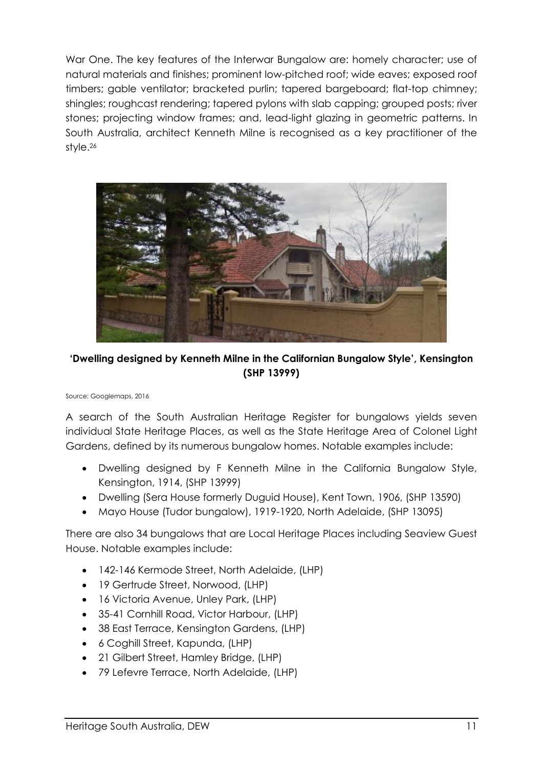War One. The key features of the Interwar Bungalow are: homely character; use of natural materials and finishes; prominent low-pitched roof; wide eaves; exposed roof timbers; gable ventilator; bracketed purlin; tapered bargeboard; flat-top chimney; shingles; roughcast rendering; tapered pylons with slab capping; grouped posts; river stones; projecting window frames; and, lead-light glazing in geometric patterns. In South Australia, architect Kenneth Milne is recognised as a key practitioner of the style.<sup>26</sup>



# **'Dwelling designed by Kenneth Milne in the Californian Bungalow Style', Kensington (SHP 13999)**

#### Source: Googlemaps, 2016

A search of the South Australian Heritage Register for bungalows yields seven individual State Heritage Places, as well as the State Heritage Area of Colonel Light Gardens, defined by its numerous bungalow homes. Notable examples include:

- Dwelling designed by F Kenneth Milne in the California Bungalow Style, Kensington, 1914, (SHP 13999)
- Dwelling (Sera House formerly Duguid House), Kent Town, 1906, (SHP 13590)
- Mayo House (Tudor bungalow), 1919-1920, North Adelaide, (SHP 13095)

There are also 34 bungalows that are Local Heritage Places including Seaview Guest House. Notable examples include:

- 142-146 Kermode Street, North Adelaide, (LHP)
- 19 Gertrude Street, Norwood, (LHP)
- 16 Victoria Avenue, Unley Park, (LHP)
- 35-41 Cornhill Road, Victor Harbour, (LHP)
- 38 East Terrace, Kensington Gardens, (LHP)
- 6 Coghill Street, Kapunda, (LHP)
- 21 Gilbert Street, Hamley Bridge, (LHP)
- 79 Lefevre Terrace, North Adelaide, (LHP)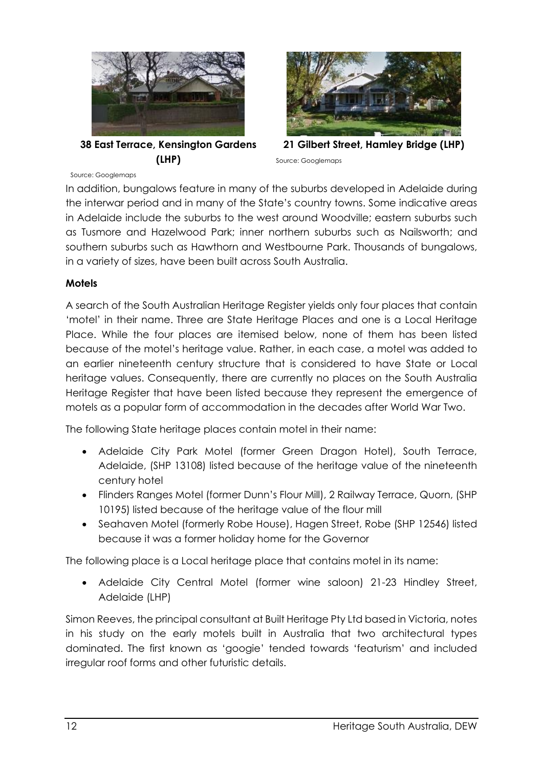

**38 East Terrace, Kensington Gardens (LHP)**



**21 Gilbert Street, Hamley Bridge (LHP)** Source: Googlemaps

Source: Googlemaps

In addition, bungalows feature in many of the suburbs developed in Adelaide during the interwar period and in many of the State's country towns. Some indicative areas in Adelaide include the suburbs to the west around Woodville; eastern suburbs such as Tusmore and Hazelwood Park; inner northern suburbs such as Nailsworth; and southern suburbs such as Hawthorn and Westbourne Park. Thousands of bungalows, in a variety of sizes, have been built across South Australia.

#### **Motels**

A search of the South Australian Heritage Register yields only four places that contain 'motel' in their name. Three are State Heritage Places and one is a Local Heritage Place. While the four places are itemised below, none of them has been listed because of the motel's heritage value. Rather, in each case, a motel was added to an earlier nineteenth century structure that is considered to have State or Local heritage values. Consequently, there are currently no places on the South Australia Heritage Register that have been listed because they represent the emergence of motels as a popular form of accommodation in the decades after World War Two.

The following State heritage places contain motel in their name:

- Adelaide City Park Motel (former Green Dragon Hotel), South Terrace, Adelaide, (SHP 13108) listed because of the heritage value of the nineteenth century hotel
- Flinders Ranges Motel (former Dunn's Flour Mill), 2 Railway Terrace, Quorn, (SHP 10195) listed because of the heritage value of the flour mill
- Seahaven Motel (formerly Robe House), Hagen Street, Robe (SHP 12546) listed because it was a former holiday home for the Governor

The following place is a Local heritage place that contains motel in its name:

 Adelaide City Central Motel (former wine saloon) 21-23 Hindley Street, Adelaide (LHP)

Simon Reeves, the principal consultant at Built Heritage Pty Ltd based in Victoria, notes in his study on the early motels built in Australia that two architectural types dominated. The first known as 'googie' tended towards 'featurism' and included irregular roof forms and other futuristic details.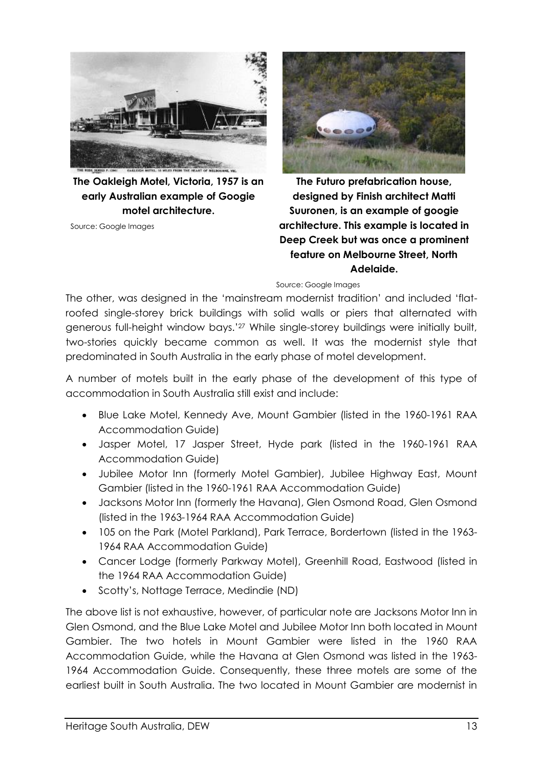

**The Oakleigh Motel, Victoria, 1957 is an early Australian example of Googie motel architecture.**

Source: Google Images



**The Futuro prefabrication house, designed by Finish architect Matti Suuronen, is an example of googie architecture. This example is located in Deep Creek but was once a prominent feature on Melbourne Street, North Adelaide.**

Source: Google Images

The other, was designed in the 'mainstream modernist tradition' and included 'flatroofed single-storey brick buildings with solid walls or piers that alternated with generous full-height window bays.'<sup>27</sup> While single-storey buildings were initially built, two-stories quickly became common as well. It was the modernist style that predominated in South Australia in the early phase of motel development.

A number of motels built in the early phase of the development of this type of accommodation in South Australia still exist and include:

- Blue Lake Motel, Kennedy Ave, Mount Gambier (listed in the 1960-1961 RAA Accommodation Guide)
- Jasper Motel, 17 Jasper Street, Hyde park (listed in the 1960-1961 RAA Accommodation Guide)
- Jubilee Motor Inn (formerly Motel Gambier), Jubilee Highway East, Mount Gambier (listed in the 1960-1961 RAA Accommodation Guide)
- Jacksons Motor Inn (formerly the Havana), Glen Osmond Road, Glen Osmond (listed in the 1963-1964 RAA Accommodation Guide)
- 105 on the Park (Motel Parkland), Park Terrace, Bordertown (listed in the 1963- 1964 RAA Accommodation Guide)
- Cancer Lodge (formerly Parkway Motel), Greenhill Road, Eastwood (listed in the 1964 RAA Accommodation Guide)
- Scotty's, Nottage Terrace, Medindie (ND)

The above list is not exhaustive, however, of particular note are Jacksons Motor Inn in Glen Osmond, and the Blue Lake Motel and Jubilee Motor Inn both located in Mount Gambier. The two hotels in Mount Gambier were listed in the 1960 RAA Accommodation Guide, while the Havana at Glen Osmond was listed in the 1963- 1964 Accommodation Guide. Consequently, these three motels are some of the earliest built in South Australia. The two located in Mount Gambier are modernist in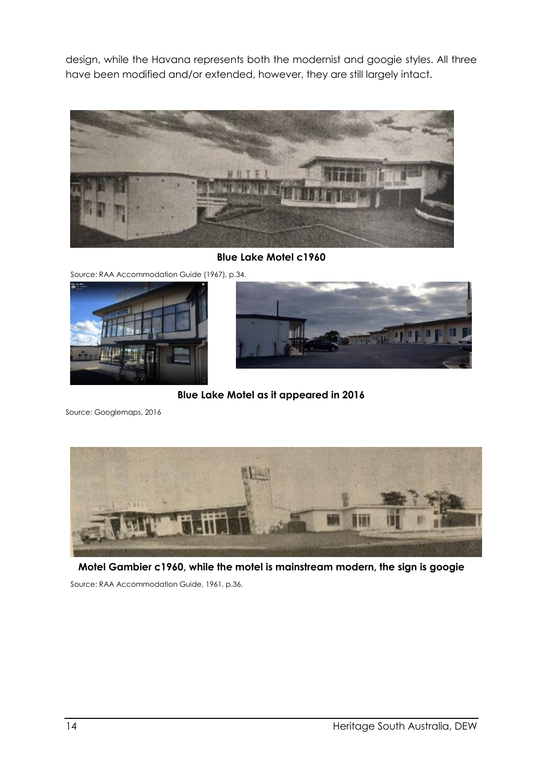design, while the Havana represents both the modernist and googie styles. All three have been modified and/or extended, however, they are still largely intact.



**Blue Lake Motel c1960**

Source: RAA Accommodation Guide (1967), p.34.





**Blue Lake Motel as it appeared in 2016**

Source: Googlemaps, 2016



**Motel Gambier c1960, while the motel is mainstream modern, the sign is googie** Source: RAA Accommodation Guide, 1961, p.36.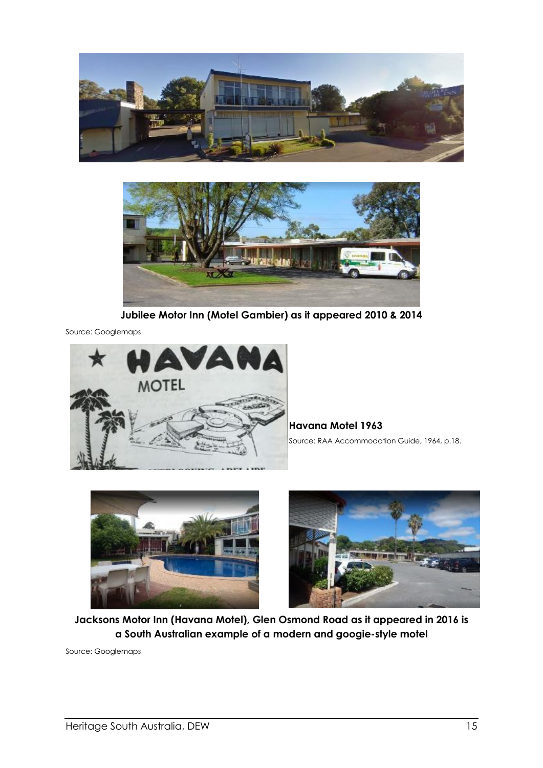



**Jubilee Motor Inn (Motel Gambier) as it appeared 2010 & 2014**

Source: Googlemaps



**Havana Motel 1963** Source: RAA Accommodation Guide, 1964, p.18.





**Jacksons Motor Inn (Havana Motel), Glen Osmond Road as it appeared in 2016 is a South Australian example of a modern and googie-style motel** 

Source: Googlemaps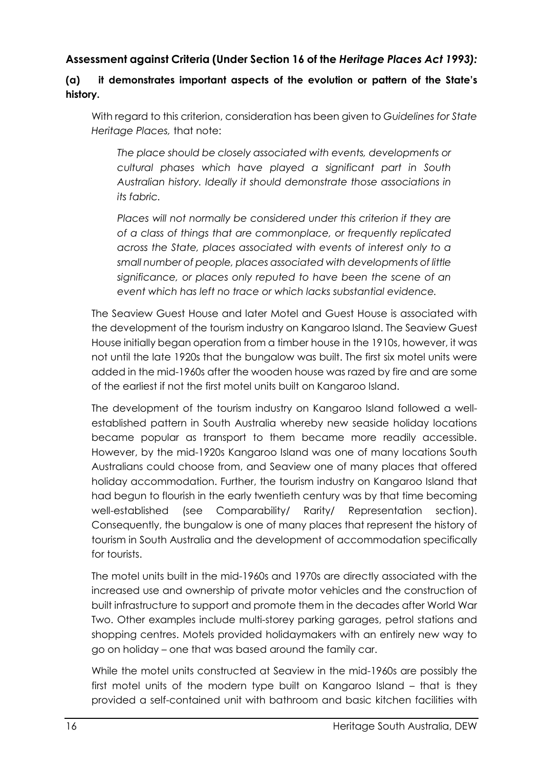# **Assessment against Criteria (Under Section 16 of the** *Heritage Places Act 1993):*

## **(a) it demonstrates important aspects of the evolution or pattern of the State's history.**

With regard to this criterion, consideration has been given to *Guidelines for State Heritage Places,* that note:

*The place should be closely associated with events, developments or cultural phases which have played a significant part in South Australian history. Ideally it should demonstrate those associations in its fabric.*

*Places will not normally be considered under this criterion if they are of a class of things that are commonplace, or frequently replicated across the State, places associated with events of interest only to a small number of people, places associated with developments of little significance, or places only reputed to have been the scene of an event which has left no trace or which lacks substantial evidence.*

The Seaview Guest House and later Motel and Guest House is associated with the development of the tourism industry on Kangaroo Island. The Seaview Guest House initially began operation from a timber house in the 1910s, however, it was not until the late 1920s that the bungalow was built. The first six motel units were added in the mid-1960s after the wooden house was razed by fire and are some of the earliest if not the first motel units built on Kangaroo Island.

The development of the tourism industry on Kangaroo Island followed a wellestablished pattern in South Australia whereby new seaside holiday locations became popular as transport to them became more readily accessible. However, by the mid-1920s Kangaroo Island was one of many locations South Australians could choose from, and Seaview one of many places that offered holiday accommodation. Further, the tourism industry on Kangaroo Island that had begun to flourish in the early twentieth century was by that time becoming well-established (see Comparability/ Rarity/ Representation section). Consequently, the bungalow is one of many places that represent the history of tourism in South Australia and the development of accommodation specifically for tourists.

The motel units built in the mid-1960s and 1970s are directly associated with the increased use and ownership of private motor vehicles and the construction of built infrastructure to support and promote them in the decades after World War Two. Other examples include multi-storey parking garages, petrol stations and shopping centres. Motels provided holidaymakers with an entirely new way to go on holiday – one that was based around the family car.

While the motel units constructed at Seaview in the mid-1960s are possibly the first motel units of the modern type built on Kangaroo Island – that is they provided a self-contained unit with bathroom and basic kitchen facilities with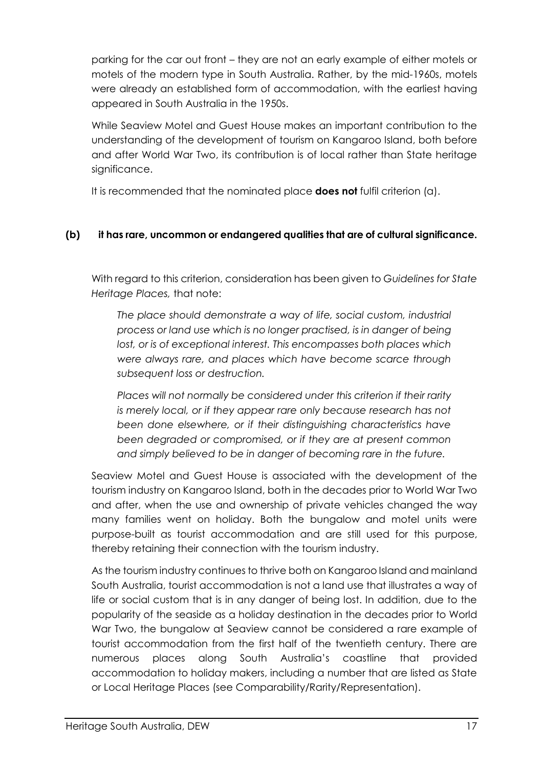parking for the car out front – they are not an early example of either motels or motels of the modern type in South Australia. Rather, by the mid-1960s, motels were already an established form of accommodation, with the earliest having appeared in South Australia in the 1950s.

While Seaview Motel and Guest House makes an important contribution to the understanding of the development of tourism on Kangaroo Island, both before and after World War Two, its contribution is of local rather than State heritage significance.

It is recommended that the nominated place **does not** fulfil criterion (a).

# **(b) it has rare, uncommon or endangered qualities that are of cultural significance.**

With regard to this criterion, consideration has been given to *Guidelines for State Heritage Places,* that note:

*The place should demonstrate a way of life, social custom, industrial process or land use which is no longer practised, is in danger of being lost, or is of exceptional interest. This encompasses both places which were always rare, and places which have become scarce through subsequent loss or destruction.*

*Places will not normally be considered under this criterion if their rarity is merely local, or if they appear rare only because research has not been done elsewhere, or if their distinguishing characteristics have been degraded or compromised, or if they are at present common and simply believed to be in danger of becoming rare in the future.*

Seaview Motel and Guest House is associated with the development of the tourism industry on Kangaroo Island, both in the decades prior to World War Two and after, when the use and ownership of private vehicles changed the way many families went on holiday. Both the bungalow and motel units were purpose-built as tourist accommodation and are still used for this purpose, thereby retaining their connection with the tourism industry.

As the tourism industry continues to thrive both on Kangaroo Island and mainland South Australia, tourist accommodation is not a land use that illustrates a way of life or social custom that is in any danger of being lost. In addition, due to the popularity of the seaside as a holiday destination in the decades prior to World War Two, the bungalow at Seaview cannot be considered a rare example of tourist accommodation from the first half of the twentieth century. There are numerous places along South Australia's coastline that provided accommodation to holiday makers, including a number that are listed as State or Local Heritage Places (see Comparability/Rarity/Representation).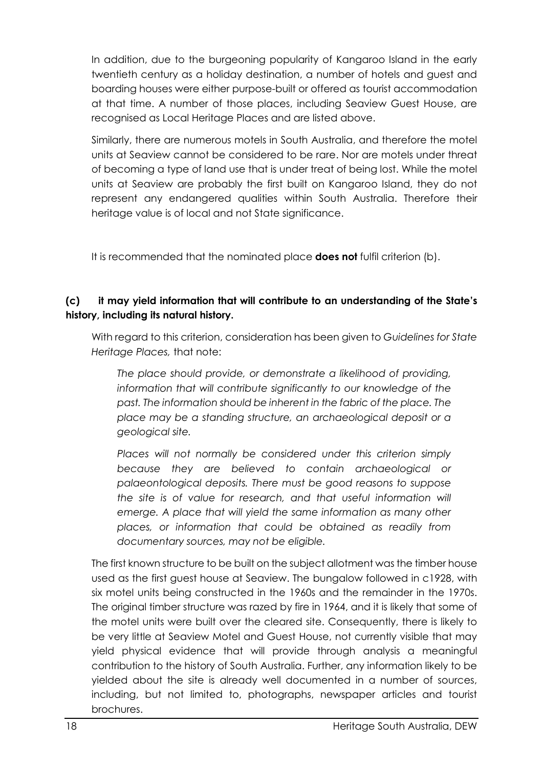In addition, due to the burgeoning popularity of Kangaroo Island in the early twentieth century as a holiday destination, a number of hotels and guest and boarding houses were either purpose-built or offered as tourist accommodation at that time. A number of those places, including Seaview Guest House, are recognised as Local Heritage Places and are listed above.

Similarly, there are numerous motels in South Australia, and therefore the motel units at Seaview cannot be considered to be rare. Nor are motels under threat of becoming a type of land use that is under treat of being lost. While the motel units at Seaview are probably the first built on Kangaroo Island, they do not represent any endangered qualities within South Australia. Therefore their heritage value is of local and not State significance.

It is recommended that the nominated place **does not** fulfil criterion (b).

# **(c) it may yield information that will contribute to an understanding of the State's history, including its natural history.**

With regard to this criterion, consideration has been given to *Guidelines for State Heritage Places,* that note:

*The place should provide, or demonstrate a likelihood of providing, information that will contribute significantly to our knowledge of the past. The information should be inherent in the fabric of the place. The place may be a standing structure, an archaeological deposit or a geological site.*

*Places will not normally be considered under this criterion simply because they are believed to contain archaeological or palaeontological deposits. There must be good reasons to suppose the site is of value for research, and that useful information will emerge. A place that will yield the same information as many other places, or information that could be obtained as readily from documentary sources, may not be eligible.*

The first known structure to be built on the subject allotment was the timber house used as the first guest house at Seaview. The bungalow followed in c1928, with six motel units being constructed in the 1960s and the remainder in the 1970s. The original timber structure was razed by fire in 1964, and it is likely that some of the motel units were built over the cleared site. Consequently, there is likely to be very little at Seaview Motel and Guest House, not currently visible that may yield physical evidence that will provide through analysis a meaningful contribution to the history of South Australia. Further, any information likely to be yielded about the site is already well documented in a number of sources, including, but not limited to, photographs, newspaper articles and tourist brochures.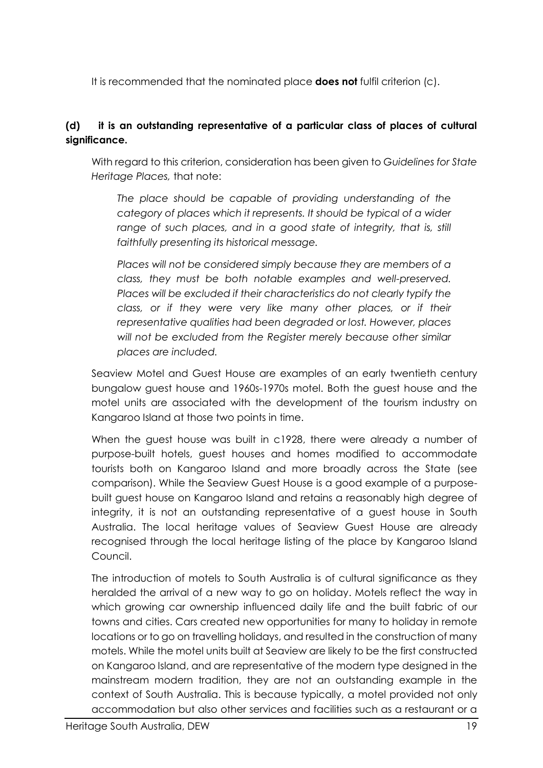It is recommended that the nominated place **does not** fulfil criterion (c).

### **(d) it is an outstanding representative of a particular class of places of cultural significance.**

With regard to this criterion, consideration has been given to *Guidelines for State Heritage Places,* that note:

*The place should be capable of providing understanding of the category of places which it represents. It should be typical of a wider*  range of such places, and in a good state of integrity, that is, still *faithfully presenting its historical message.*

*Places will not be considered simply because they are members of a class, they must be both notable examples and well-preserved. Places will be excluded if their characteristics do not clearly typify the class, or if they were very like many other places, or if their representative qualities had been degraded or lost. However, places will not be excluded from the Register merely because other similar places are included.*

Seaview Motel and Guest House are examples of an early twentieth century bungalow guest house and 1960s-1970s motel. Both the guest house and the motel units are associated with the development of the tourism industry on Kangaroo Island at those two points in time.

When the guest house was built in c1928, there were already a number of purpose-built hotels, guest houses and homes modified to accommodate tourists both on Kangaroo Island and more broadly across the State (see comparison). While the Seaview Guest House is a good example of a purposebuilt guest house on Kangaroo Island and retains a reasonably high degree of integrity, it is not an outstanding representative of a guest house in South Australia. The local heritage values of Seaview Guest House are already recognised through the local heritage listing of the place by Kangaroo Island Council.

The introduction of motels to South Australia is of cultural significance as they heralded the arrival of a new way to go on holiday. Motels reflect the way in which growing car ownership influenced daily life and the built fabric of our towns and cities. Cars created new opportunities for many to holiday in remote locations or to go on travelling holidays, and resulted in the construction of many motels. While the motel units built at Seaview are likely to be the first constructed on Kangaroo Island, and are representative of the modern type designed in the mainstream modern tradition, they are not an outstanding example in the context of South Australia. This is because typically, a motel provided not only accommodation but also other services and facilities such as a restaurant or a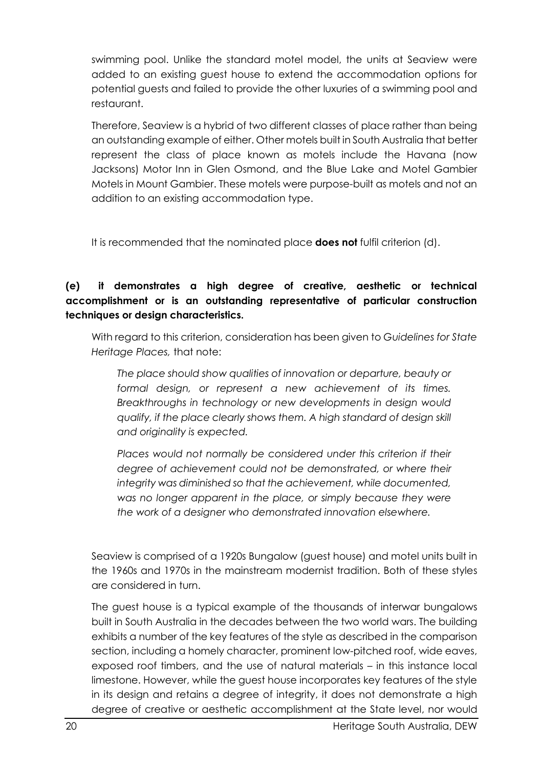swimming pool. Unlike the standard motel model, the units at Seaview were added to an existing guest house to extend the accommodation options for potential guests and failed to provide the other luxuries of a swimming pool and restaurant.

Therefore, Seaview is a hybrid of two different classes of place rather than being an outstanding example of either. Other motels built in South Australia that better represent the class of place known as motels include the Havana (now Jacksons) Motor Inn in Glen Osmond, and the Blue Lake and Motel Gambier Motels in Mount Gambier. These motels were purpose-built as motels and not an addition to an existing accommodation type.

It is recommended that the nominated place **does not** fulfil criterion (d).

## **(e) it demonstrates a high degree of creative, aesthetic or technical accomplishment or is an outstanding representative of particular construction techniques or design characteristics.**

With regard to this criterion, consideration has been given to *Guidelines for State Heritage Places,* that note:

*The place should show qualities of innovation or departure, beauty or formal design, or represent a new achievement of its times. Breakthroughs in technology or new developments in design would qualify, if the place clearly shows them. A high standard of design skill and originality is expected.*

Places would not normally be considered under this criterion if their *degree of achievement could not be demonstrated, or where their integrity was diminished so that the achievement, while documented, was no longer apparent in the place, or simply because they were the work of a designer who demonstrated innovation elsewhere.*

Seaview is comprised of a 1920s Bungalow (guest house) and motel units built in the 1960s and 1970s in the mainstream modernist tradition. Both of these styles are considered in turn.

The guest house is a typical example of the thousands of interwar bungalows built in South Australia in the decades between the two world wars. The building exhibits a number of the key features of the style as described in the comparison section, including a homely character, prominent low-pitched roof, wide eaves, exposed roof timbers, and the use of natural materials – in this instance local limestone. However, while the guest house incorporates key features of the style in its design and retains a degree of integrity, it does not demonstrate a high degree of creative or aesthetic accomplishment at the State level, nor would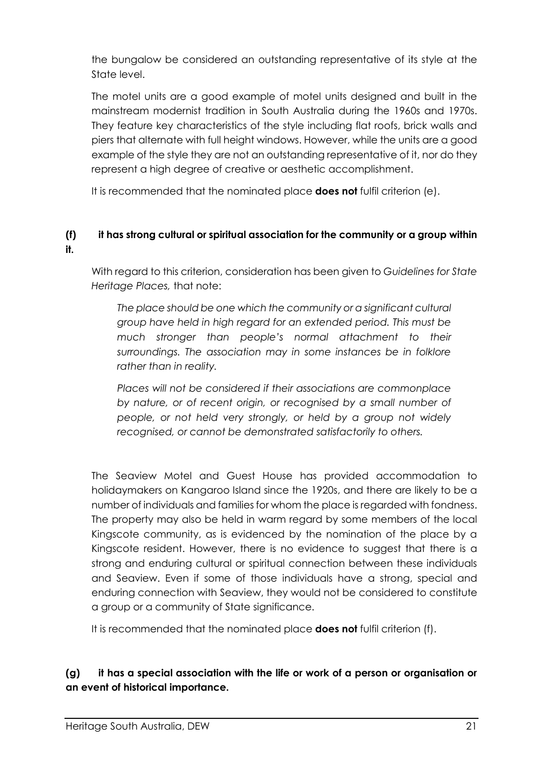the bungalow be considered an outstanding representative of its style at the State level.

The motel units are a good example of motel units designed and built in the mainstream modernist tradition in South Australia during the 1960s and 1970s. They feature key characteristics of the style including flat roofs, brick walls and piers that alternate with full height windows. However, while the units are a good example of the style they are not an outstanding representative of it, nor do they represent a high degree of creative or aesthetic accomplishment.

It is recommended that the nominated place **does not** fulfil criterion (e).

# **(f) it has strong cultural or spiritual association for the community or a group within it.**

With regard to this criterion, consideration has been given to *Guidelines for State Heritage Places,* that note:

*The place should be one which the community or a significant cultural group have held in high regard for an extended period. This must be much stronger than people's normal attachment to their surroundings. The association may in some instances be in folklore rather than in reality.*

*Places will not be considered if their associations are commonplace by nature, or of recent origin, or recognised by a small number of people, or not held very strongly, or held by a group not widely recognised, or cannot be demonstrated satisfactorily to others.*

The Seaview Motel and Guest House has provided accommodation to holidaymakers on Kangaroo Island since the 1920s, and there are likely to be a number of individuals and families for whom the place is regarded with fondness. The property may also be held in warm regard by some members of the local Kingscote community, as is evidenced by the nomination of the place by a Kingscote resident. However, there is no evidence to suggest that there is a strong and enduring cultural or spiritual connection between these individuals and Seaview. Even if some of those individuals have a strong, special and enduring connection with Seaview, they would not be considered to constitute a group or a community of State significance.

It is recommended that the nominated place **does not** fulfil criterion (f).

# **(g) it has a special association with the life or work of a person or organisation or an event of historical importance.**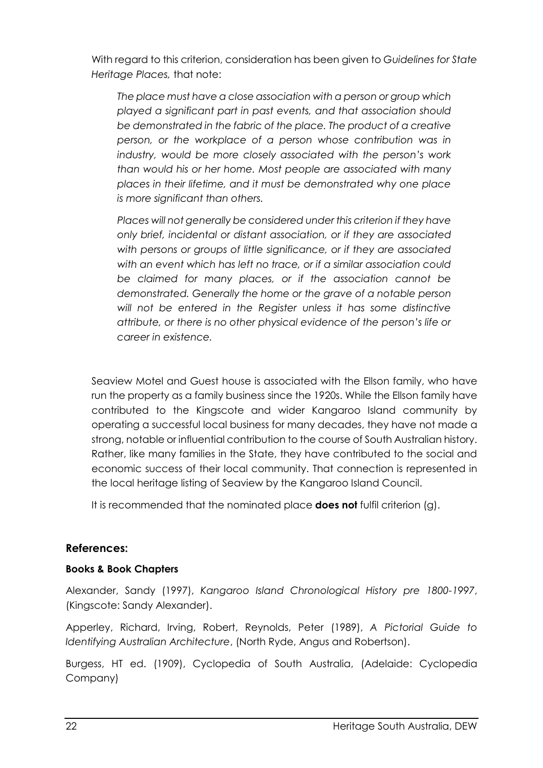With regard to this criterion, consideration has been given to *Guidelines for State Heritage Places,* that note:

*The place must have a close association with a person or group which played a significant part in past events, and that association should be demonstrated in the fabric of the place. The product of a creative person, or the workplace of a person whose contribution was in industry, would be more closely associated with the person's work than would his or her home. Most people are associated with many places in their lifetime, and it must be demonstrated why one place is more significant than others.* 

*Places will not generally be considered under this criterion if they have only brief, incidental or distant association, or if they are associated with persons or groups of little significance, or if they are associated with an event which has left no trace, or if a similar association could be claimed for many places, or if the association cannot be demonstrated. Generally the home or the grave of a notable person will not be entered in the Register unless it has some distinctive attribute, or there is no other physical evidence of the person's life or career in existence.*

Seaview Motel and Guest house is associated with the Ellson family, who have run the property as a family business since the 1920s. While the Ellson family have contributed to the Kingscote and wider Kangaroo Island community by operating a successful local business for many decades, they have not made a strong, notable or influential contribution to the course of South Australian history. Rather, like many families in the State, they have contributed to the social and economic success of their local community. That connection is represented in the local heritage listing of Seaview by the Kangaroo Island Council.

It is recommended that the nominated place **does not** fulfil criterion (g).

# **References:**

# **Books & Book Chapters**

Alexander, Sandy (1997), *Kangaroo Island Chronological History pre 1800-1997*, (Kingscote: Sandy Alexander).

Apperley, Richard, Irving, Robert, Reynolds, Peter (1989), *A Pictorial Guide to Identifying Australian Architecture*, (North Ryde, Angus and Robertson).

Burgess, HT ed. (1909), Cyclopedia of South Australia, (Adelaide: Cyclopedia Company)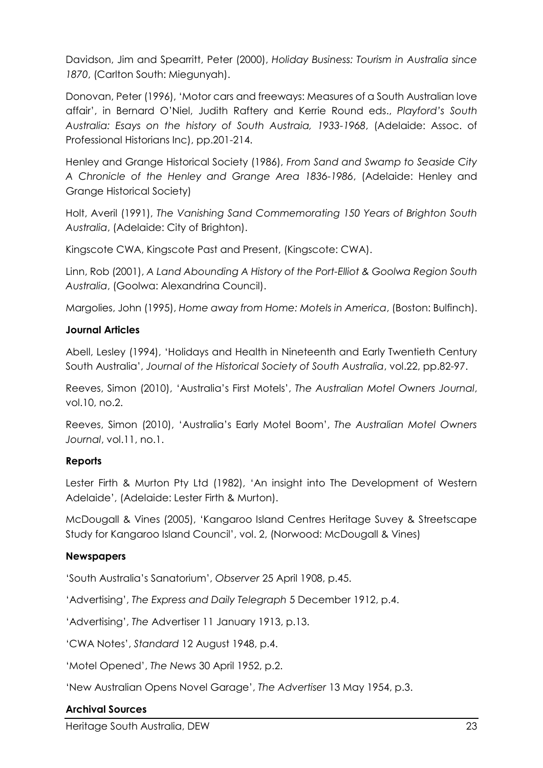Davidson, Jim and Spearritt, Peter (2000), *Holiday Business: Tourism in Australia since 1870*, (Carlton South: Miegunyah).

Donovan, Peter (1996), 'Motor cars and freeways: Measures of a South Australian love affair', in Bernard O'Niel, Judith Raftery and Kerrie Round eds., *Playford's South Australia: Esays on the history of South Austraia, 1933-1968*, (Adelaide: Assoc. of Professional Historians Inc), pp.201-214.

Henley and Grange Historical Society (1986), *From Sand and Swamp to Seaside City A Chronicle of the Henley and Grange Area 1836-1986*, (Adelaide: Henley and Grange Historical Society)

Holt, Averil (1991), *The Vanishing Sand Commemorating 150 Years of Brighton South Australia*, (Adelaide: City of Brighton).

Kingscote CWA, Kingscote Past and Present, (Kingscote: CWA).

Linn, Rob (2001), *A Land Abounding A History of the Port-Elliot & Goolwa Region South Australia*, (Goolwa: Alexandrina Council).

Margolies, John (1995), *Home away from Home: Motels in America*, (Boston: Bulfinch).

### **Journal Articles**

Abell, Lesley (1994), 'Holidays and Health in Nineteenth and Early Twentieth Century South Australia', *Journal of the Historical Society of South Australia*, vol.22, pp.82-97.

Reeves, Simon (2010), 'Australia's First Motels', *The Australian Motel Owners Journal*, vol.10, no.2.

Reeves, Simon (2010), 'Australia's Early Motel Boom', *The Australian Motel Owners Journal*, vol.11, no.1.

#### **Reports**

Lester Firth & Murton Pty Ltd (1982), 'An insight into The Development of Western Adelaide', (Adelaide: Lester Firth & Murton).

McDougall & Vines (2005), 'Kangaroo Island Centres Heritage Suvey & Streetscape Study for Kangaroo Island Council', vol. 2, (Norwood: McDougall & Vines)

#### **Newspapers**

'South Australia's Sanatorium', *Observer* 25 April 1908, p.45.

'Advertising', *The Express and Daily Telegraph* 5 December 1912, p.4.

'Advertising', *The* Advertiser 11 January 1913, p.13.

'CWA Notes', *Standard* 12 August 1948, p.4.

'Motel Opened', *The News* 30 April 1952, p.2.

'New Australian Opens Novel Garage', *The Advertiser* 13 May 1954, p.3.

# **Archival Sources**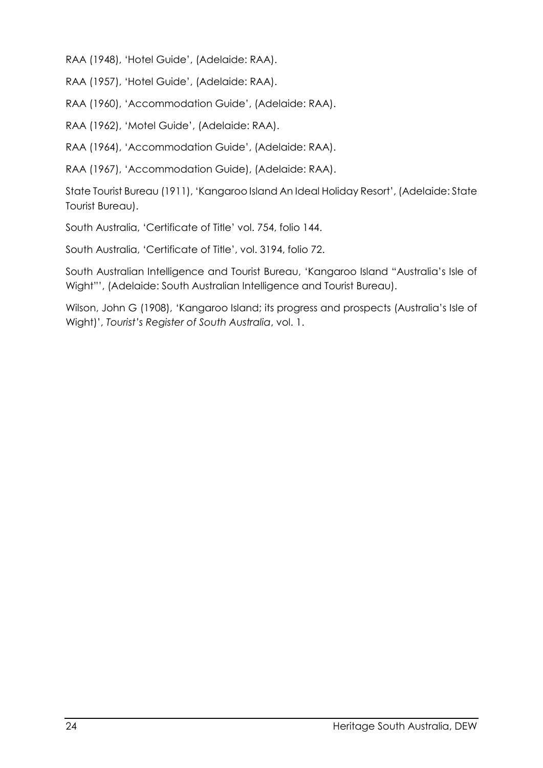RAA (1948), 'Hotel Guide', (Adelaide: RAA).

RAA (1957), 'Hotel Guide', (Adelaide: RAA).

RAA (1960), 'Accommodation Guide', (Adelaide: RAA).

RAA (1962), 'Motel Guide', (Adelaide: RAA).

RAA (1964), 'Accommodation Guide', (Adelaide: RAA).

RAA (1967), 'Accommodation Guide), (Adelaide: RAA).

State Tourist Bureau (1911), 'Kangaroo Island An Ideal Holiday Resort', (Adelaide: State Tourist Bureau).

South Australia, 'Certificate of Title' vol. 754, folio 144.

South Australia, 'Certificate of Title', vol. 3194, folio 72.

South Australian Intelligence and Tourist Bureau, 'Kangaroo Island "Australia's Isle of Wight"', (Adelaide: South Australian Intelligence and Tourist Bureau).

Wilson, John G (1908), 'Kangaroo Island; its progress and prospects (Australia's Isle of Wight)', *Tourist's Register of South Australia*, vol. 1.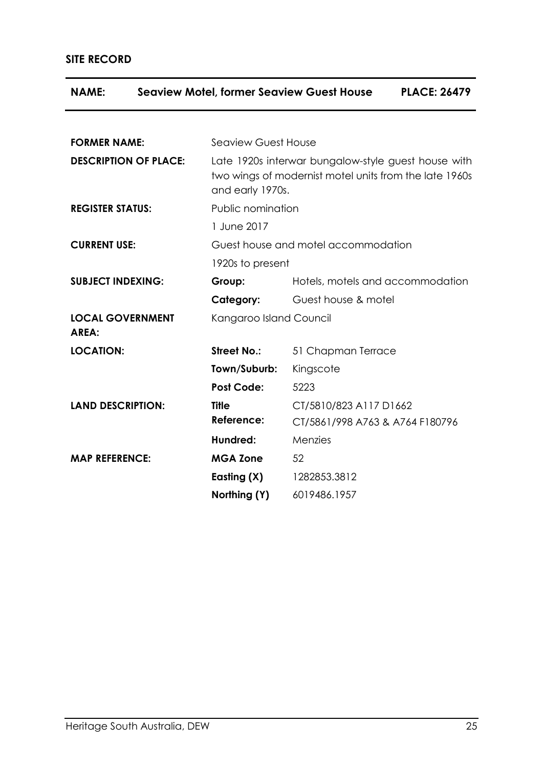# **SITE RECORD**

| <b>Seaview Motel, former Seaview Guest House</b><br><b>NAME:</b> |                                                                                                                                   | <b>PLACE: 26479</b>              |  |
|------------------------------------------------------------------|-----------------------------------------------------------------------------------------------------------------------------------|----------------------------------|--|
|                                                                  |                                                                                                                                   |                                  |  |
| <b>FORMER NAME:</b>                                              | <b>Seaview Guest House</b>                                                                                                        |                                  |  |
| <b>DESCRIPTION OF PLACE:</b>                                     | Late 1920s interwar bungalow-style guest house with<br>two wings of modernist motel units from the late 1960s<br>and early 1970s. |                                  |  |
| <b>REGISTER STATUS:</b>                                          | Public nomination                                                                                                                 |                                  |  |
|                                                                  | 1 June 2017                                                                                                                       |                                  |  |
| <b>CURRENT USE:</b>                                              | Guest house and motel accommodation                                                                                               |                                  |  |
|                                                                  | 1920s to present                                                                                                                  |                                  |  |
| <b>SUBJECT INDEXING:</b>                                         | Group:                                                                                                                            | Hotels, motels and accommodation |  |
|                                                                  | Category:                                                                                                                         | Guest house & motel              |  |
| <b>LOCAL GOVERNMENT</b><br>AREA:                                 | Kangaroo Island Council                                                                                                           |                                  |  |
| <b>LOCATION:</b>                                                 | <b>Street No.:</b>                                                                                                                | 51 Chapman Terrace               |  |
|                                                                  | Town/Suburb:                                                                                                                      | Kingscote                        |  |
|                                                                  | <b>Post Code:</b>                                                                                                                 | 5223                             |  |
| <b>LAND DESCRIPTION:</b>                                         | <b>Title</b>                                                                                                                      | CT/5810/823 A117 D1662           |  |
|                                                                  | Reference:                                                                                                                        | CT/5861/998 A763 & A764 F180796  |  |
|                                                                  | Hundred:                                                                                                                          | Menzies                          |  |
| <b>MAP REFERENCE:</b>                                            | <b>MGA Zone</b>                                                                                                                   | 52                               |  |
|                                                                  | Easting (X)                                                                                                                       | 1282853.3812                     |  |
|                                                                  | Northing (Y)                                                                                                                      | 6019486.1957                     |  |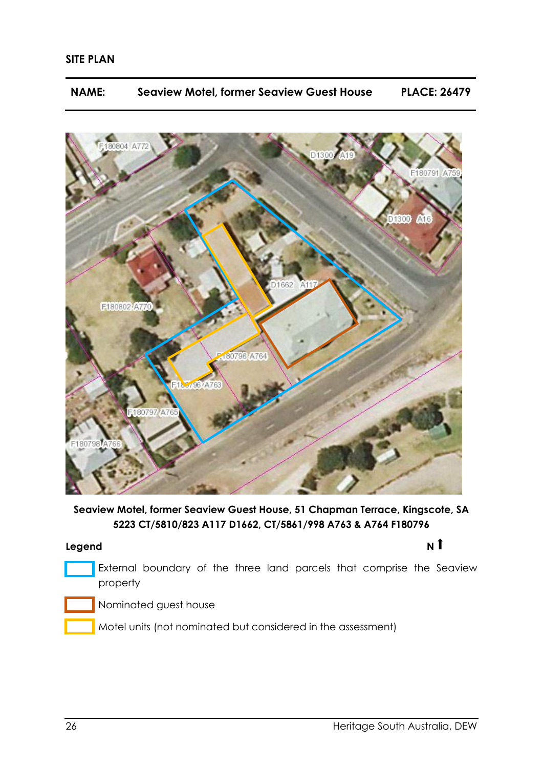

**Seaview Motel, former Seaview Guest House, 51 Chapman Terrace, Kingscote, SA 5223 CT/5810/823 A117 D1662, CT/5861/998 A763 & A764 F180796**

#### **Legend N**

- External boundary of the three land parcels that comprise the Seaview property
- Nominated guest house
	- Motel units (not nominated but considered in the assessment)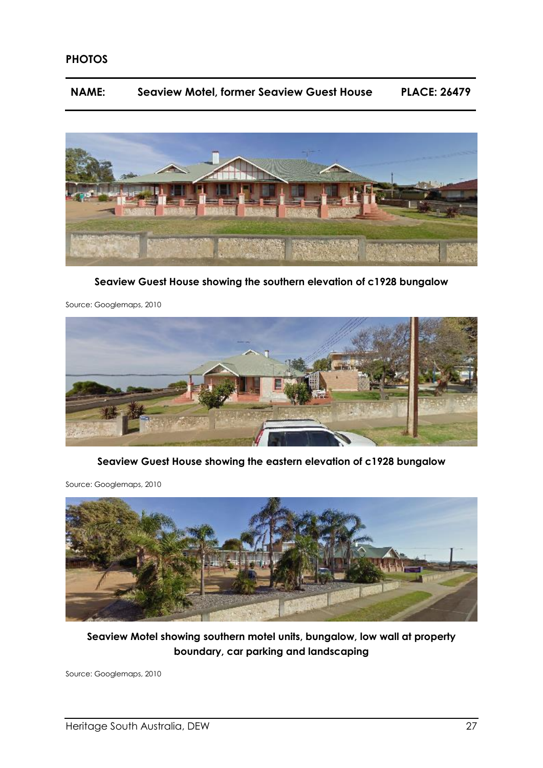#### **PHOTOS**

#### **NAME: Seaview Motel, former Seaview Guest House PLACE: 26479**



**Seaview Guest House showing the southern elevation of c1928 bungalow** 



Source: Googlemaps, 2010

**Seaview Guest House showing the eastern elevation of c1928 bungalow**

Source: Googlemaps, 2010



**Seaview Motel showing southern motel units, bungalow, low wall at property boundary, car parking and landscaping**

Source: Googlemaps, 2010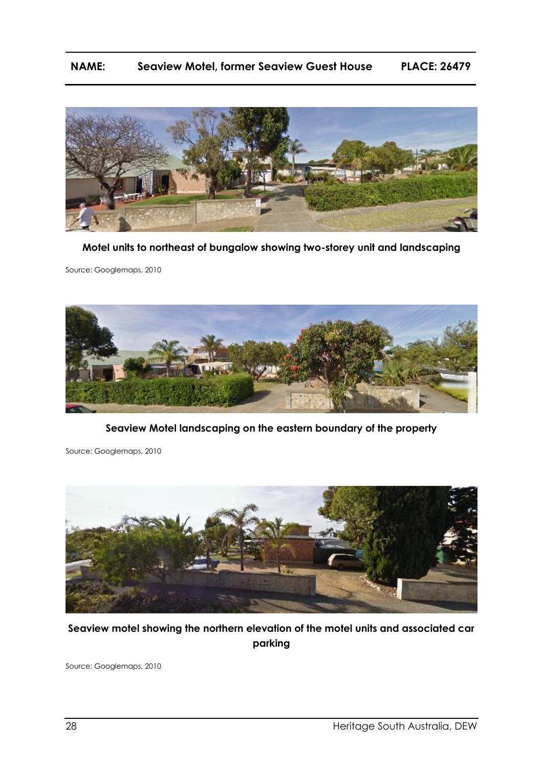## **NAME: Seaview Motel, former Seaview Guest House PLACE: 26479**



**Motel units to northeast of bungalow showing two-storey unit and landscaping**

Source: Googlemaps, 2010



**Seaview Motel landscaping on the eastern boundary of the property**

Source: Googlemaps, 2010

![](_page_27_Picture_7.jpeg)

**Seaview motel showing the northern elevation of the motel units and associated car parking**

Source: Googlemaps, 2010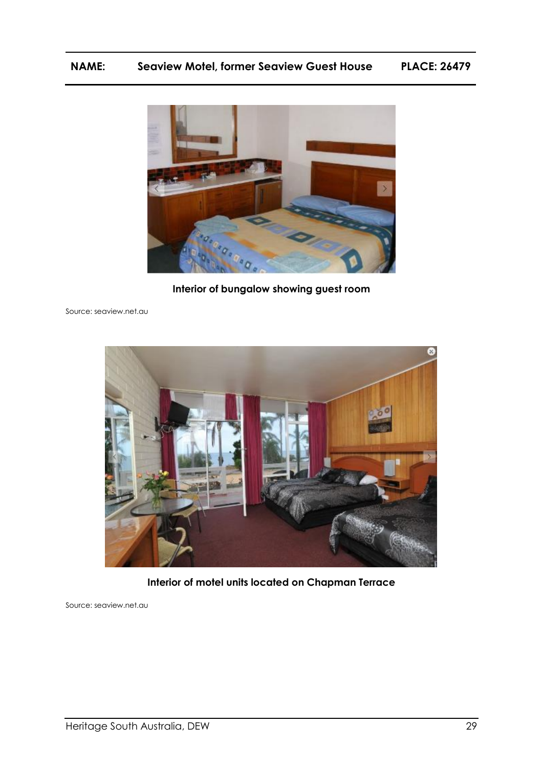# **NAME: Seaview Motel, former Seaview Guest House PLACE: 26479**

![](_page_28_Picture_1.jpeg)

**Interior of bungalow showing guest room**

Source: seaview.net.au

![](_page_28_Picture_4.jpeg)

**Interior of motel units located on Chapman Terrace**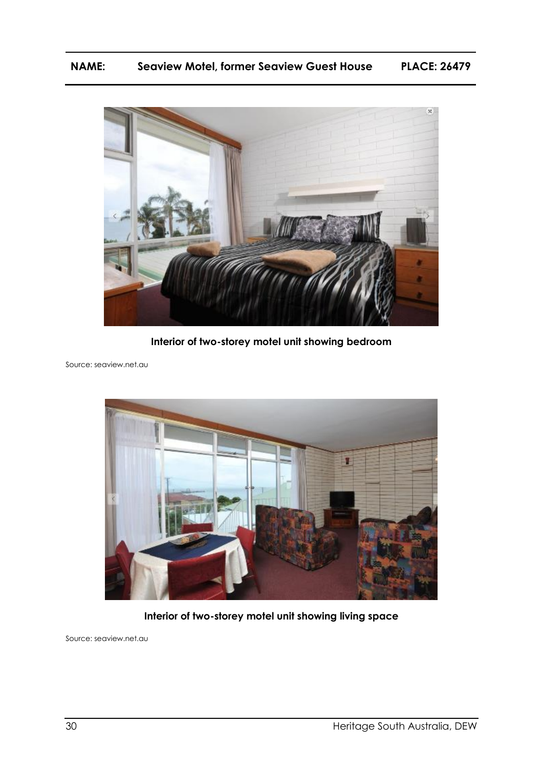![](_page_29_Picture_1.jpeg)

**Interior of two-storey motel unit showing bedroom**

Source: seaview.net.au

![](_page_29_Picture_4.jpeg)

**Interior of two-storey motel unit showing living space**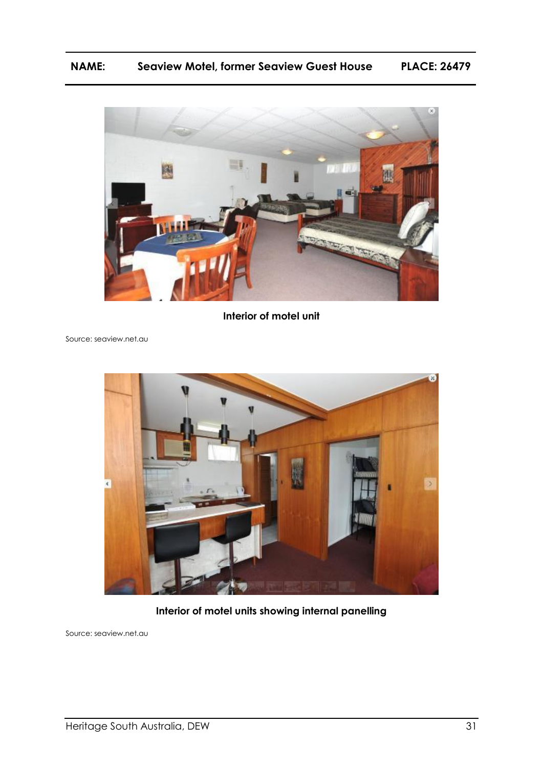# **NAME: Seaview Motel, former Seaview Guest House PLACE: 26479**

![](_page_30_Picture_1.jpeg)

**Interior of motel unit**

Source: seaview.net.au

![](_page_30_Picture_4.jpeg)

**Interior of motel units showing internal panelling**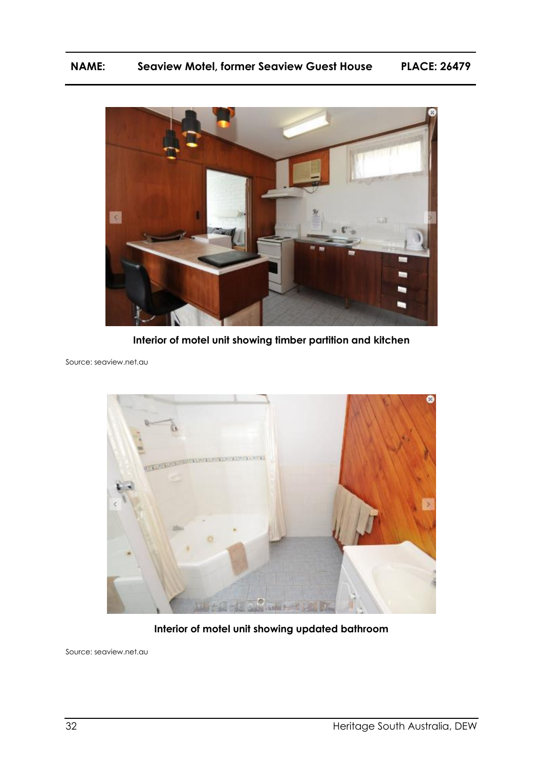![](_page_31_Picture_1.jpeg)

**Interior of motel unit showing timber partition and kitchen**

Source: seaview.net.au

![](_page_31_Picture_4.jpeg)

**Interior of motel unit showing updated bathroom**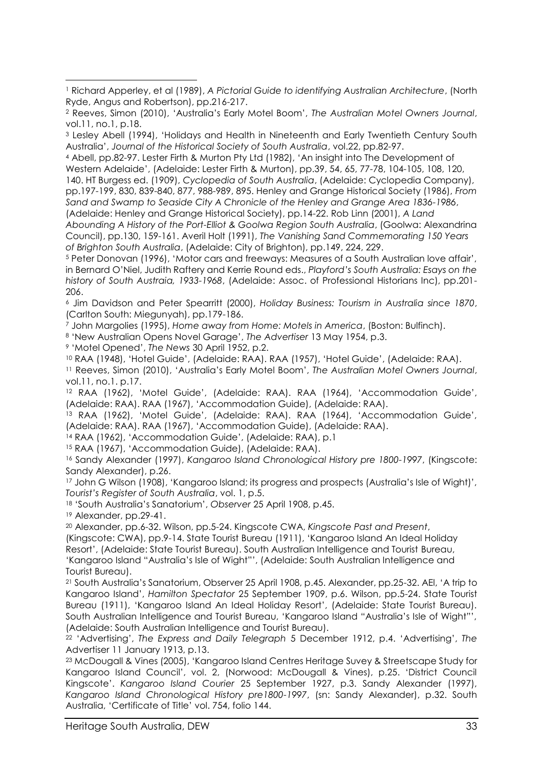<sup>4</sup> Abell, pp.82-97. Lester Firth & Murton Pty Ltd (1982), 'An insight into The Development of Western Adelaide', (Adelaide: Lester Firth & Murton), pp.39, 54, 65, 77-78, 104-105, 108, 120, 140. HT Burgess ed. (1909), *Cyclopedia of South Australia*, (Adelaide: Cyclopedia Company), pp.197-199, 830, 839-840, 877, 988-989, 895. Henley and Grange Historical Society (1986), *From Sand and Swamp to Seaside City A Chronicle of the Henley and Grange Area 1836-1986*, (Adelaide: Henley and Grange Historical Society), pp.14-22. Rob Linn (2001), *A Land* 

*Abounding A History of the Port-Elliot & Goolwa Region South Australia*, (Goolwa: Alexandrina Council), pp.130, 159-161. Averil Holt (1991), *The Vanishing Sand Commemorating 150 Years of Brighton South Australia*, (Adelaide: City of Brighton), pp.149, 224, 229.

<sup>5</sup> Peter Donovan (1996), 'Motor cars and freeways: Measures of a South Australian love affair', in Bernard O'Niel, Judith Raftery and Kerrie Round eds., *Playford's South Australia: Esays on the history of South Austraia, 1933-1968*, (Adelaide: Assoc. of Professional Historians Inc), pp.201- 206.

<sup>6</sup> Jim Davidson and Peter Spearritt (2000), *Holiday Business: Tourism in Australia since 1870*, (Carlton South: Miegunyah), pp.179-186.

<sup>7</sup> John Margolies (1995), *Home away from Home: Motels in America*, (Boston: Bulfinch).

<sup>8</sup> 'New Australian Opens Novel Garage', *The Advertiser* 13 May 1954, p.3.

<sup>9</sup> 'Motel Opened', *The News* 30 April 1952, p.2.

<sup>10</sup> RAA (1948), 'Hotel Guide', (Adelaide: RAA). RAA (1957), 'Hotel Guide', (Adelaide: RAA).

<sup>11</sup> Reeves, Simon (2010), 'Australia's Early Motel Boom', *The Australian Motel Owners Journal*, vol.11, no.1. p.17.

<sup>12</sup> RAA (1962), 'Motel Guide', (Adelaide: RAA). RAA (1964), 'Accommodation Guide', (Adelaide: RAA). RAA (1967), 'Accommodation Guide), (Adelaide: RAA).

<sup>13</sup> RAA (1962), 'Motel Guide', (Adelaide: RAA). RAA (1964), 'Accommodation Guide', (Adelaide: RAA). RAA (1967), 'Accommodation Guide), (Adelaide: RAA).

<sup>14</sup> RAA (1962), 'Accommodation Guide', (Adelaide: RAA), p.1

<sup>15</sup> RAA (1967), 'Accommodation Guide), (Adelaide: RAA).

<sup>16</sup> Sandy Alexander (1997), *Kangaroo Island Chronological History pre 1800-1997*, (Kingscote: Sandy Alexander), p.26.

<sup>17</sup> John G Wilson (1908), 'Kangaroo Island; its progress and prospects (Australia's Isle of Wight)', *Tourist's Register of South Australia*, vol. 1, p.5.

<sup>18</sup> 'South Australia's Sanatorium', *Observer* 25 April 1908, p.45.

<sup>19</sup> Alexander, pp.29-41.

<sup>20</sup> Alexander, pp.6-32. Wilson, pp.5-24. Kingscote CWA, *Kingscote Past and Present*,

(Kingscote: CWA), pp.9-14. State Tourist Bureau (1911), 'Kangaroo Island An Ideal Holiday Resort', (Adelaide: State Tourist Bureau). South Australian Intelligence and Tourist Bureau, 'Kangaroo Island "Australia's Isle of Wight"', (Adelaide: South Australian Intelligence and Tourist Bureau).

<sup>21</sup> South Australia's Sanatorium, Observer 25 April 1908, p.45. Alexander, pp.25-32. AEl, 'A trip to Kangaroo Island', *Hamilton Spectator* 25 September 1909, p.6. Wilson, pp.5-24. State Tourist Bureau (1911), 'Kangaroo Island An Ideal Holiday Resort', (Adelaide: State Tourist Bureau). South Australian Intelligence and Tourist Bureau, 'Kangaroo Island "Australia's Isle of Wight"', (Adelaide: South Australian Intelligence and Tourist Bureau).

<sup>22</sup> 'Advertising', *The Express and Daily Telegraph* 5 December 1912, p.4. 'Advertising', *The*  Advertiser 11 January 1913, p.13.

<sup>23</sup> McDougall & Vines (2005), 'Kangaroo Island Centres Heritage Suvey & Streetscape Study for Kangaroo Island Council', vol. 2, (Norwood: McDougall & Vines), p.25. 'District Council Kingscote'. *Kangaroo Island Courier* 25 September 1927, p.3. Sandy Alexander (1997), *Kangaroo Island Chronological History pre1800-1997*, (sn: Sandy Alexander), p.32. South Australia, 'Certificate of Title' vol. 754, folio 144.

<sup>1</sup> Richard Apperley, et al (1989), *A Pictorial Guide to identifying Australian Architecture*, (North Ryde, Angus and Robertson), pp.216-217. -

<sup>2</sup> Reeves, Simon (2010), 'Australia's Early Motel Boom', *The Australian Motel Owners Journal*, vol.11, no.1, p.18.

<sup>3</sup> Lesley Abell (1994), 'Holidays and Health in Nineteenth and Early Twentieth Century South Australia', *Journal of the Historical Society of South Australia*, vol.22, pp.82-97.